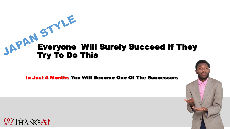# **SAPAM**<br>Everyone Will Surely Succeed If They<br>Try To Do This Try To Do This

#### In Just 4 Months You Will Become One Of The Successors

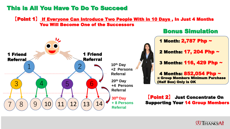## This is All You Have To Do To Succeed

#### **【**Point 1**】** If Everyone Can Introduce Two People With in 10 Days , In Just 4 Months You Will Become One of the Successors



## Bonus Simulation

1 Month: 2,787 Php ~

2 Months: 17, 204 Php ~

3 Months: 116, 429 Php ~

4 Months: 852,054 Php ~ ※ Group Members Minimum Purchase (Half Box) Only is OK

**【**Point 2**】** Just Concentrate On Supporting Your 14 Group Members

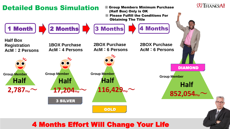

## 4 Months Effort Will Change Your Life